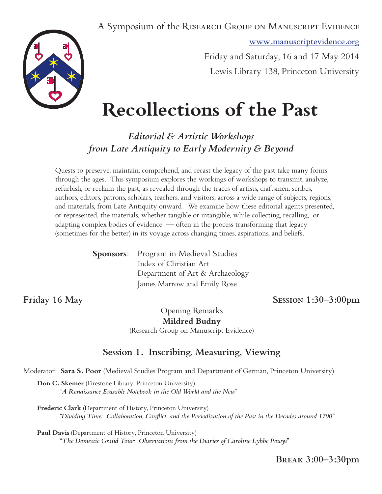A Symposium of the RESEARCH GROUP ON MANUSCRIPT EVIDENCE

**www.manuscriptevidence.org**

Friday and Saturday, 16 and 17 May 2014 Lewis Library 138, Princeton University

# **Recollections of the Past**

*Editorial & Artistic Workshops from Late Antiquity to Early Modernity & Beyond*

Quests to preserve, maintain, comprehend, and recast the legacy of the past take many forms through the ages. This symposium explores the workings of workshops to transmit, analyze, refurbish, or reclaim the past, as revealed through the traces of artists, craftsmen, scribes, authors, editors, patrons, scholars, teachers, and visitors, across a wide range of subjects, regions, and materials, from Late Antiquity onward. We examine how these editorial agents presented, or represented, the materials, whether tangible or intangible, while collecting, recalling, or adapting complex bodies of evidence — often in the process transforming that legacy (sometimes for the better) in its voyage across changing times, aspirations, and beliefs.

| <b>Sponsors:</b> Program in Medieval Studies |
|----------------------------------------------|
| Index of Christian Art                       |
| Department of Art & Archaeology              |
| James Marrow and Emily Rose                  |

**Friday 16 May Session 1:30–3:00pm**

Opening Remarks **Mildred Budny** (Research Group on Manuscript Evidence)

# **Session 1. Inscribing, Measuring, Viewing**

Moderator: **Sara S. Poor** (Medieval Studies Program and Department of German, Princeton University)

**Don C. Skemer** (Firestone Library, Princeton University) "*A Renaissance Erasable Notebook in the Old World and the New*"

**Frederic Clark** (Department of History, Princeton University) *"Dividing Time: Collaboration, Conflict, and the Periodization of the Past in the Decades around 1700"*

**Paul Davis** (Department of History, Princeton University) "*The Domestic Grand Tour: Observations from the Diaries of Caroline Lybbe Powys*"

**Break 3:00–3:30pm**

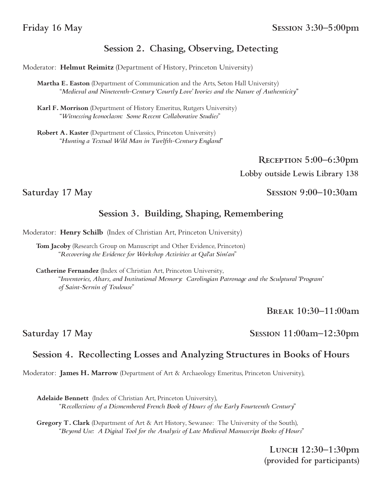# **Session 2. Chasing, Observing, Detecting**

Moderator: **Helmut Reimitz** (Department of History, Princeton University)

**Martha E. Easton** (Department of Communication and the Arts, Seton Hall University) "*Medieval and Nineteenth-Century 'Courtly Love' Ivories and the Nature of Authenticity"*

**Karl F. Morrison** (Department of History Emeritus, Rutgers University) "*Witnessing Iconoclasm: Some Recent Collaborative Studies*"

**Robert A. Kaster** (Department of Classics, Princeton University) "*Hunting a Textual Wild Man in Twelfth-Century England*"

> **Reception 5:00–6:30pm Lobby outside Lewis Library 138**

Saturday 17 May Session 9:00-10:30am

# **Session 3. Building, Shaping, Remembering**

Moderator: **Henry Schilb** (Index of Christian Art, Princeton University)

**Tom Jacoby** (Research Group on Manuscript and Other Evidence, Princeton) "*Recovering the Evidence for Workshop Activities at Qal'at Sim'an*"

**Catherine Fernandez** (Index of Christian Art, Princeton University, "*Inventories, Altars, and Institutional Memory: Carolingian Patronage and the Sculptural 'Program' of Saint-Sernin of Toulouse*"

**Break 10:30–11:00am**

Saturday 17 May Session 11:00am–12:30pm

# **Session 4. Recollecting Losses and Analyzing Structures in Books of Hours**

Moderator: **James H. Marrow** (Department of Art & Archaeology Emeritus, Princeton University),

**Adelaide Bennett** (Index of Christian Art, Princeton University), "*Recollections of a Dismembered French Book of Hours of the Early Fourteenth Century*"

**Gregory T. Clark** (Department of Art & Art History, Sewanee: The University of the South), "*Beyond Use: A Digital Tool for the Analysis of Late Medieval Manuscript Books of Hours*"

> **Lunch 12:30–1:30pm (provided for participants)**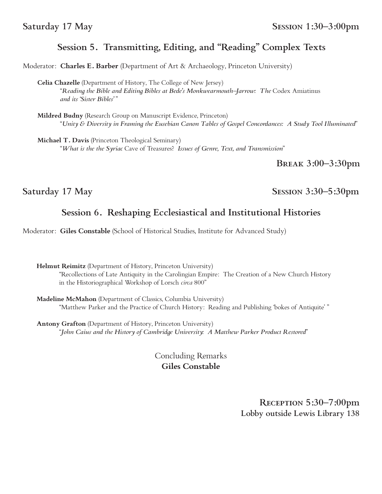# **Session 5. Transmitting, Editing, and "Reading" Complex Texts**

Moderator: **Charles E. Barber** (Department of Art & Archaeology, Princeton University)

**Celia Chazelle** (Department of History, The College of New Jersey) "*Reading the Bible and Editing Bibles at Bede's Monkwearmouth–Jarrow: The* Codex Amiatinus *and its 'Sister Bibles'* "

**Mildred Budny** (Research Group on Manuscript Evidence, Princeton) "*Unity & Diversity in Framing the Eusebian Canon Tables of Gospel Concordances: A Study Tool Illuminated*"

**Michael T. Davis** (Princeton Theological Seminary) "*What is the the Syriac* Cave of Treasures? *Issues of Genre, Text, and Transmission*"

**Break 3:00–3:30pm**

Saturday 17 May Session 3:30–5:30pm

# **Session 6. Reshaping Ecclesiastical and Institutional Histories**

Moderator: **Giles Constable** (School of Historical Studies, Institute for Advanced Study)

**Helmut Reimitz** (Department of History, Princeton University) "Recollections of Late Antiquity in the Carolingian Empire: The Creation of a New Church History in the Historiographical Workshop of Lorsch *circa* 800"

**Madeline McMahon** (Department of Classics, Columbia University) "Matthew Parker and the Practice of Church History: Reading and Publishing 'bokes of Antiquite' "

**Antony Grafton** (Department of History, Princeton University) "*John Caius and the History of Cambridge University: A Matthew Parker Product Restored*"

> Concluding Remarks **Giles Constable**

> > **Reception 5:30–7:00pm Lobby outside Lewis Library 138**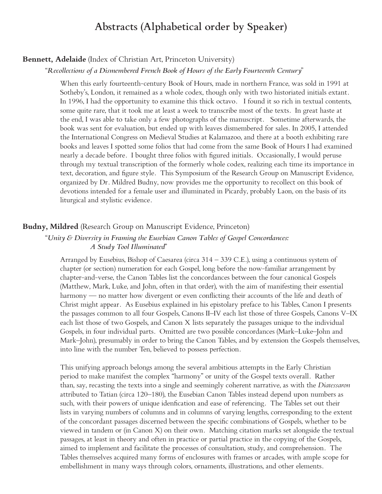# **Abstracts (Alphabetical order by Speaker)**

#### **Bennett, Adelaide** (Index of Christian Art, Princeton University)

#### "*Recollections of a Dismembered French Book of Hours of the Early Fourteenth Century*"

When this early fourteenth-century Book of Hours, made in northern France, was sold in 1991 at Sotheby's, London, it remained as a whole codex, though only with two historiated initials extant. In 1996, I had the opportunity to examine this thick octavo. I found it so rich in textual contents, some quite rare, that it took me at least a week to transcribe most of the texts. In great haste at the end, I was able to take only a few photographs of the manuscript. Sometime afterwards, the book was sent for evaluation, but ended up with leaves dismembered for sales. In 2005, I attended the International Congress on Medieval Studies at Kalamazoo, and there at a booth exhibiting rare books and leaves I spotted some folios that had come from the same Book of Hours I had examined nearly a decade before. I bought three folios with figured initials. Occasionally, I would peruse through my textual transcription of the formerly whole codex, realizing each time its importance in text, decoration, and figure style. This Symposium of the Research Group on Manuscript Evidence, organized by Dr. Mildred Budny, now provides me the opportunity to recollect on this book of devotions intended for a female user and illuminated in Picardy, probably Laon, on the basis of its liturgical and stylistic evidence.

#### **Budny, Mildred** (Research Group on Manuscript Evidence, Princeton)

#### "*Unity & Diversity in Framing the Eusebian Canon Tables of Gospel Concordances: A Study Tool Illuminated*"

Arranged by Eusebius, Bishop of Caesarea (circa 314 – 339 C.E.), using a continuous system of chapter (or section) numeration for each Gospel, long before the now-familiar arrangement by chapter-and-verse, the Canon Tables list the concordances between the four canonical Gospels (Matthew, Mark, Luke, and John, often in that order), with the aim of manifesting their essential harmony — no matter how divergent or even conflicting their accounts of the life and death of Christ might appear. As Eusebius explained in his epistolary preface to his Tables, Canon I presents the passages common to all four Gospels, Canons II–IV each list those of three Gospels, Canons V–IX each list those of two Gospels, and Canon X lists separately the passages unique to the individual Gospels, in four individual parts. Omitted are two possible concordances (Mark–Luke–John and Mark–John), presumably in order to bring the Canon Tables, and by extension the Gospels themselves, into line with the number Ten, believed to possess perfection.

This unifying approach belongs among the several ambitious attempts in the Early Christian period to make manifest the complex "harmony" or unity of the Gospel texts overall. Rather than, say, recasting the texts into a single and seemingly coherent narrative, as with the *Diatessaron* attributed to Tatian (circa 120–180), the Eusebian Canon Tables instead depend upon numbers as such, with their powers of unique idenfication and ease of referencing. The Tables set out their lists in varying numbers of columns and in columns of varying lengths, corresponding to the extent of the concordant passages discerned between the specific combinations of Gospels, whether to be viewed in tandem or (in Canon X) on their own. Matching citation marks set alongside the textual passages, at least in theory and often in practice or partial practice in the copying of the Gospels, aimed to implement and facilitate the processes of consultation, study, and comprehension. The Tables themselves acquired many forms of enclosures with frames or arcades, with ample scope for embellishment in many ways through colors, ornaments, illustrations, and other elements.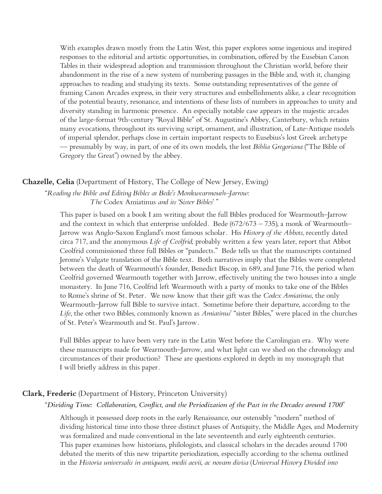With examples drawn mostly from the Latin West, this paper explores some ingenious and inspired responses to the editorial and artistic opportunities, in combination, offered by the Eusebian Canon Tables in their widespread adoption and transmission throughout the Christian world, before their abandonment in the rise of a new system of numbering passages in the Bible and, with it, changing approaches to reading and studying its texts. Some outstanding representatives of the genre of framing Canon Arcades express, in their very structures and embellishments alike, a clear recognition of the potential beauty, resonance, and intentions of these lists of numbers in approaches to unity and diversity standing in harmonic presence. An especially notable case appears in the majestic arcades of the large-format 9th-century "Royal Bible" of St. Augustine's Abbey, Canterbury, which retains many evocations, throughout its surviving script, ornament, and illustration, of Late-Antique models of imperial splendor, perhaps close in certain important respects to Eusebius's lost Greek archetype — presumably by way, in part, of one of its own models, the lost *Biblia Gregoriana* ("The Bible of Gregory the Great") owned by the abbey.

#### **Chazelle, Celia** (Department of History, The College of New Jersey, Ewing)

"*Reading the Bible and Editing Bibles at Bede's Monkwearmouth–Jarrow: The* Codex Amiatinus *and its 'Sister Bibles*' "

This paper is based on a book I am writing about the full Bibles produced for Wearmouth–Jarrow and the context in which that enterprise unfolded. Bede ( $672/673 - 735$ ), a monk of Wearmouth– Jarrow was Anglo-Saxon England's most famous scholar. His *History of the Abbots*, recently dated circa 717, and the anonymous *Life of Ceolfrid*, probably written a few years later, report that Abbot Ceolfrid commissioned three full Bibles or "pandects." Bede tells us that the manuscripts contained Jerome's Vulgate translation of the Bible text. Both narratives imply that the Bibles were completed between the death of Wearmouth's founder, Benedict Biscop, in 689, and June 716, the period when Ceolfrid governed Wearmouth together with Jarrow, effectively uniting the two houses into a single monastery. In June 716, Ceolfrid left Wearmouth with a party of monks to take one of the Bibles to Rome's shrine of St. Peter. We now know that their gift was the *Codex Amiatinus*, the only Wearmouth–Jarrow full Bible to survive intact. Sometime before their departure, according to the *Life*, the other two Bibles, commonly known as *Amiatinus*' "sister Bibles," were placed in the churches of St. Peter's Wearmouth and St. Paul's Jarrow.

Full Bibles appear to have been very rare in the Latin West before the Carolingian era. Why were these manuscripts made for Wearmouth–Jarrow, and what light can we shed on the chronology and circumstances of their production? These are questions explored in depth in my monograph that I will briefly address in this paper.

#### **Clark, Frederic** (Department of History, Princeton University)

#### "*Dividing Time: Collaboration, Conflict, and the Periodization of the Past in the Decades around 1700*"

Although it possessed deep roots in the early Renaissance, our ostensibly "modern" method of dividing historical time into those three distinct phases of Antiquity, the Middle Ages, and Modernity was formalized and made conventional in the late seventeenth and early eighteenth centuries. This paper examines how historians, philologists, and classical scholars in the decades around 1700 debated the merits of this new tripartite periodization, especially according to the schema outlined in the *Historia universalis in antiquam, medii aevii, ac novam divisa* (*Universal History Divided into*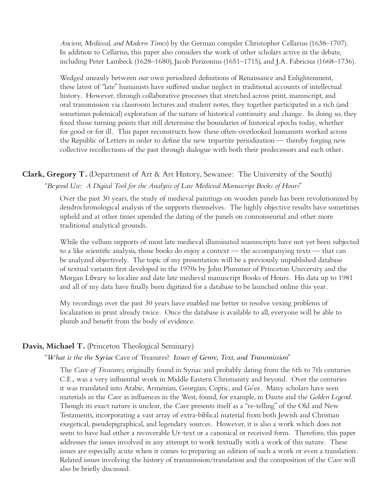*Ancient, Medieval, and Modern Times*) by the German compiler Christopher Cellarius (1638–1707). In addition to Cellarius, this paper also considers the work of other scholars active in the debate, including Peter Lambeck (1628–1680), Jacob Perizonius (1651–1715), and J.A. Fabricius (1668–1736).

Wedged uneasily between our own periodized definitions of Renaissance and Enlightenment, these latest of "late" humanists have suffered undue neglect in traditional accounts of intellectual history. However, through collaborative processes that stretched across print, manuscript, and oral transmission via classroom lectures and student notes, they together participated in a rich (and sometimes polemical) exploration of the nature of historical continuity and change. In doing so, they fixed those turning points that still determine the boundaries of historical epochs today, whether for good or for ill. This paper reconstructs how these often-overlooked humanists worked across the Republic of Letters in order to define the new tripartite periodization — thereby forging new collective recollections of the past through dialogue with both their predecessors and each other.

### **Clark, Gregory T.** (Department of Art & Art History, Sewanee: The University of the South) "*Beyond Use: A Digital Tool for the Analysis of Late Medieval Manuscript Books of Hours*"

Over the past 30 years, the study of medieval paintings on wooden panels has been revolutionized by dendrochronological analysis of the supports themselves. The highly objective results have sometimes upheld and at other times upended the dating of the panels on connoisseurial and other more traditional analytical grounds.

While the vellum supports of most late medieval illuminated manuscripts have not yet been subjected to a like scientific analysis, those books do enjoy a context — the accompanying texts — that can be analyzed objectively. The topic of my presentation will be a previously unpublished database of textual variants first developed in the 1970s by John Plummer of Princeton University and the Morgan Library to localize and date late medieval manuscript Books of Hours. His data up to 1981 and all of my data have finally been digitized for a database to be launched online this year.

My recordings over the past 30 years have enabled me better to resolve vexing problems of localization in print already twice. Once the database is available to all, everyone will be able to plumb and benefit from the body of evidence.

#### **Davis, Michael T.** (Princeton Theological Seminary)

#### "*What is the the Syriac* Cave of Treasures? *Issues of Genre, Text, and Transmission*"

The *Cave of Treasures*, originally found in Syriac and probably dating from the 6th to 7th centuries C.E., was a very influential work in Middle Eastern Christianity and beyond. Over the centuries it was translated into Arabic, Armenian, Georgian, Coptic, and Ge'ez. Many scholars have seen materials in the *Cave* as influences in the West, found, for example, in Dante and the *Golden Legend*. Though its exact nature is unclear, the *Cave* presents itself as a "re-telling" of the Old and New Testaments, incorporating a vast array of extra-biblical material from both Jewish and Christian exegetical, pseudepigraphical, and legendary sources. However, it is also a work which does not seem to have had either a recoverable Ur-text or a canonical or received form. Therefore, this paper addresses the issues involved in any attempt to work textually with a work of this nature. These issues are especially acute when it comes to preparing an edition of such a work or even a translation. Related issues involving the history of transmission/translation and the composition of the *Cave* will also be briefly discussed.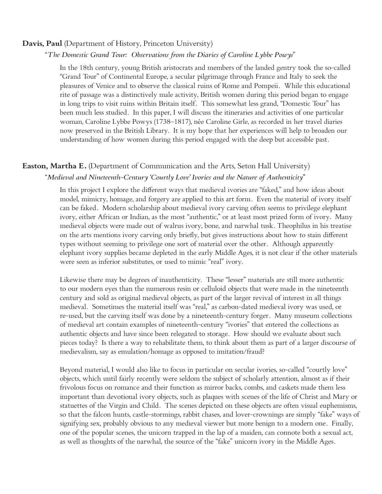#### **Davis, Paul** (Department of History, Princeton University)

#### "*The Domestic Grand Tour: Observations from the Diaries of Caroline Lybbe Powys*"

In the 18th century, young British aristocrats and members of the landed gentry took the so-called "Grand Tour" of Continental Europe, a secular pilgrimage through France and Italy to seek the pleasures of Venice and to observe the classical ruins of Rome and Pompeii. While this educational rite of passage was a distinctively male activity, British women during this period began to engage in long trips to visit ruins within Britain itself. This somewhat less grand, "Domestic Tour" has been much less studied. In this paper, I will discuss the itineraries and activities of one particular woman, Caroline Lybbe Powys (1738–1817), née Caroline Girle, as recorded in her travel diaries now preserved in the British Library. It is my hope that her experiences will help to broaden our understanding of how women during this period engaged with the deep but accessible past.

### **Easton, Martha E.** (Department of Communication and the Arts, Seton Hall University) "*Medieval and Nineteenth-Century 'Courtly Love' Ivories and the Nature of Authenticity"*

In this project I explore the different ways that medieval ivories are "faked," and how ideas about model, mimicry, homage, and forgery are applied to this art form. Even the material of ivory itself can be faked. Modern scholarship about medieval ivory carving often seems to privilege elephant ivory, either African or Indian, as the most "authentic," or at least most prized form of ivory. Many medieval objects were made out of walrus ivory, bone, and narwhal tusk. Theophilus in his treatise on the arts mentions ivory carving only briefly, but gives instructions about how to stain different types without seeming to privilege one sort of material over the other. Although apparently elephant ivory supplies became depleted in the early Middle Ages, it is not clear if the other materials were seen as inferior substitutes, or used to mimic "real" ivory.

Likewise there may be degrees of inauthenticity. These "lesser" materials are still more authentic to our modern eyes than the numerous resin or celluloid objects that were made in the nineteenth century and sold as original medieval objects, as part of the larger revival of interest in all things medieval. Sometimes the material itself was "real," as carbon-dated medieval ivory was used, or re-used, but the carving itself was done by a nineteenth-century forger. Many museum collections of medieval art contain examples of nineteenth-century "ivories" that entered the collections as authentic objects and have since been relegated to storage. How should we evaluate about such pieces today? Is there a way to rehabilitate them, to think about them as part of a larger discourse of medievalism, say as emulation/homage as opposed to imitation/fraud?

Beyond material, I would also like to focus in particular on secular ivories, so-called "courtly love" objects, which until fairly recently were seldom the subject of scholarly attention, almost as if their frivolous focus on romance and their function as mirror backs, combs, and caskets made them less important than devotional ivory objects, such as plaques with scenes of the life of Christ and Mary or statuettes of the Virgin and Child. The scenes depicted on these objects are often visual euphemisms, so that the falcon hunts, castle-stormings, rabbit chases, and lover-crownings are simply "fake" ways of signifying sex, probably obvious to any medieval viewer but more benign to a modern one. Finally, one of the popular scenes, the unicorn trapped in the lap of a maiden, can connote both a sexual act, as well as thoughts of the narwhal, the source of the "fake" unicorn ivory in the Middle Ages.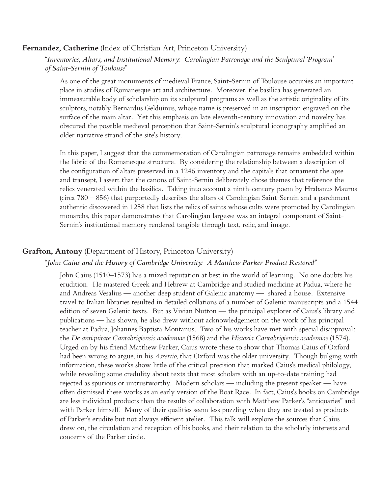#### **Fernandez, Catherine** (Index of Christian Art, Princeton University)

#### "*Inventories, Altars, and Institutional Memory: Carolingian Patronage and the Sculptural 'Program' of Saint-Sernin of Toulouse*"

As one of the great monuments of medieval France, Saint-Sernin of Toulouse occupies an important place in studies of Romanesque art and architecture. Moreover, the basilica has generated an immeasurable body of scholarship on its sculptural programs as well as the artistic originality of its sculptors, notably Bernardus Gelduinus, whose name is preserved in an inscription engraved on the surface of the main altar. Yet this emphasis on late eleventh-century innovation and novelty has obscured the possible medieval perception that Saint-Sernin's sculptural iconography amplified an older narrative strand of the site's history.

In this paper, I suggest that the commemoration of Carolingian patronage remains embedded within the fabric of the Romanesque structure. By considering the relationship between a description of the configuration of altars preserved in a 1246 inventory and the capitals that ornament the apse and transept, I assert that the canons of Saint-Sernin deliberately chose themes that reference the relics venerated within the basilica. Taking into account a ninth-century poem by Hrabanus Maurus (circa 780 – 856) that purportedly describes the altars of Carolingian Saint-Sernin and a parchment authentic discovered in 1258 that lists the relics of saints whose cults were promoted by Carolingian monarchs, this paper demonstrates that Carolingian largesse was an integral component of Saint-Sernin's institutional memory rendered tangible through text, relic, and image.

#### **Grafton, Antony** (Department of History, Princeton University)

#### "*John Caius and the History of Cambridge University: A Matthew Parker Product Restored"*

John Caius (1510–1573) has a mixed reputation at best in the world of learning. No one doubts his erudition. He mastered Greek and Hebrew at Cambridge and studied medicine at Padua, where he and Andreas Vesalius — another deep student of Galenic anatomy — shared a house. Extensive travel to Italian libraries resulted in detailed collations of a number of Galenic manuscripts and a 1544 edition of seven Galenic texts. But as Vivian Nutton — the principal explorer of Caius's library and publications — has shown, he also drew without acknowledgement on the work of his principal teacher at Padua, Johannes Baptista Montanus. Two of his works have met with special disapproval: the *De antiquitate Cantabrigiensis academiae* (1568) and the *Historia Cantabrigiensis academiae* (1574). Urged on by his friend Matthew Parker, Caius wrote these to show that Thomas Caius of Oxford had been wrong to argue, in his *Assertio*, that Oxford was the older university. Though bulging with information, these works show little of the critical precision that marked Caius's medical philology, while revealing some credulity about texts that most scholars with an up-to-date training had rejected as spurious or untrustworthy. Modern scholars — including the present speaker — have often dismissed these works as an early version of the Boat Race. In fact, Caius's books on Cambridge are less individual products than the results of collaboration with Matthew Parker's "antiquaries" and with Parker himself. Many of their qualities seem less puzzling when they are treated as products of Parker's erudite but not always efficient atelier. This talk will explore the sources that Caius drew on, the circulation and reception of his books, and their relation to the scholarly interests and concerns of the Parker circle.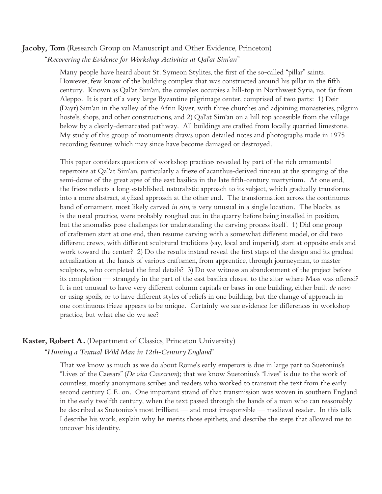# **Jacoby, Tom** (Research Group on Manuscript and Other Evidence, Princeton)

#### "*Recovering the Evidence for Workshop Activities at Qal'at Sim'an"*

Many people have heard about St. Symeon Stylites, the first of the so-called "pillar" saints. However, few know of the building complex that was constructed around his pillar in the fifth century. Known as Qal'at Sim'an, the complex occupies a hill-top in Northwest Syria, not far from Aleppo. It is part of a very large Byzantine pilgrimage center, comprised of two parts: 1) Deir (Dayr) Sim'an in the valley of the Afrin River, with three churches and adjoining monasteries, pilgrim hostels, shops, and other constructions, and 2) Qal'at Sim'an on a hill top accessible from the village below by a clearly-demarcated pathway. All buildings are crafted from locally quarried limestone. My study of this group of monuments draws upon detailed notes and photographs made in 1975 recording features which may since have become damaged or destroyed.

This paper considers questions of workshop practices revealed by part of the rich ornamental repertoire at Qal'at Sim'an, particularly a frieze of acanthus-derived rinceau at the springing of the semi-dome of the great apse of the east basilica in the late fifth-century martyrium. At one end, the frieze reflects a long-established, naturalistic approach to its subject, which gradually transforms into a more abstract, stylized approach at the other end. The transformation across the continuous band of ornament, most likely carved *in situ*, is very unusual in a single location. The blocks, as is the usual practice, were probably roughed out in the quarry before being installed in position, but the anomalies pose challenges for understanding the carving process itself. 1) Did one group of craftsmen start at one end, then resume carving with a somewhat different model, or did two different crews, with different sculptural traditions (say, local and imperial), start at opposite ends and work toward the center? 2) Do the results instead reveal the first steps of the design and its gradual actualization at the hands of various craftsmen, from apprentice, through journeyman, to master sculptors, who completed the final details? 3) Do we witness an abandonment of the project before its completion — strangely in the part of the east basilica closest to the altar where Mass was offered? It is not unusual to have very different column capitals or bases in one building, either built *de novo* or using spoils, or to have different styles of reliefs in one building, but the change of approach in one continuous frieze appears to be unique. Certainly we see evidence for differences in workshop practice, but what else do we see?

#### **Kaster, Robert A.** (Department of Classics, Princeton University)

#### "*Hunting a Textual Wild Man in 12th-Century England*"

That we know as much as we do about Rome's early emperors is due in large part to Suetonius's "Lives of the Caesars" (*De vita Caesarum*); that we know Suetonius's "Lives" is due to the work of countless, mostly anonymous scribes and readers who worked to transmit the text from the early second century C.E. on. One important strand of that transmission was woven in southern England in the early twelfth century, when the text passed through the hands of a man who can reasonably be described as Suetonius's most brilliant — and most irresponsible — medieval reader. In this talk I describe his work, explain why he merits those epithets, and describe the steps that allowed me to uncover his identity.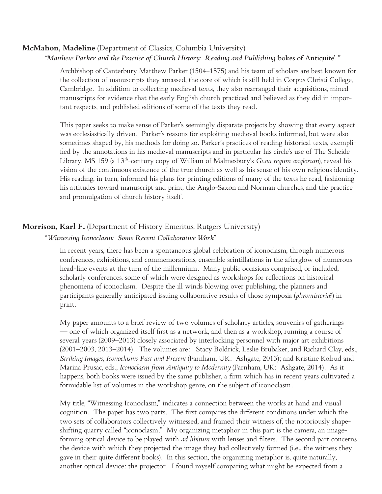#### **McMahon, Madeline** (Department of Classics, Columbia University)

#### *"Matthew Parker and the Practice of Church History: Reading and Publishing '*bokes of Antiquite' *"*

Archbishop of Canterbury Matthew Parker (1504–1575) and his team of scholars are best known for the collection of manuscripts they amassed, the core of which is still held in Corpus Christi College, Cambridge. In addition to collecting medieval texts, they also rearranged their acquisitions, mined manuscripts for evidence that the early English church practiced and believed as they did in important respects, and published editions of some of the texts they read.

This paper seeks to make sense of Parker's seemingly disparate projects by showing that every aspect was ecclesiastically driven. Parker's reasons for exploiting medieval books informed, but were also sometimes shaped by, his methods for doing so. Parker's practices of reading historical texts, exemplified by the annotations in his medieval manuscripts and in particular his circle's use of The Scheide Library, MS 159 (a 13th-century copy of William of Malmesbury's *Gesta regum anglorum*), reveal his vision of the continuous existence of the true church as well as his sense of his own religious identity. His reading, in turn, informed his plans for printing editions of many of the texts he read, fashioning his attitudes toward manuscript and print, the Anglo-Saxon and Norman churches, and the practice and promulgation of church history itself.

#### **Morrison, Karl F.** (Department of History Emeritus, Rutgers University)

#### "*Witnessing Iconoclasm: Some Recent Collaborative Work*"

In recent years, there has been a spontaneous global celebration of iconoclasm, through numerous conferences, exhibitions, and commemorations, ensemble scintillations in the afterglow of numerous head-line events at the turn of the millennium. Many public occasions comprised, or included, scholarly conferences, some of which were designed as workshops for reflections on historical phenomena of iconoclasm. Despite the ill winds blowing over publishing, the planners and participants generally anticipated issuing collaborative results of those symposia (*phrontisteria*?) in print.

My paper amounts to a brief review of two volumes of scholarly articles, souvenirs of gatherings — one of which organized itself first as a network, and then as a workshop, running a course of several years (2009–2013) closely associated by interlocking personnel with major art exhibitions (2001–2003, 2013–2014). The volumes are: Stacy Boldrick, Leslie Brubaker, and Richard Clay, eds., *Striking Images, Iconoclasms Past and Present* (Farnham, UK: Ashgate, 2013); and Kristine Kolrud and Marina Prusac, eds., *Iconoclasm from Antiquity to Modernity* (Farnham, UK: Ashgate, 2014). As it happens, both books were issued by the same publisher, a firm which has in recent years cultivated a formidable list of volumes in the workshop genre, on the subject of iconoclasm.

My title, "Witnessing Iconoclasm," indicates a connection between the works at hand and visual cognition. The paper has two parts. The first compares the different conditions under which the two sets of collaborators collectively witnessed, and framed their witness of, the notoriously shapeshifting quarry called "iconoclasm." My organizing metaphor in this part is the camera, an imageforming optical device to be played with *ad libitum* with lenses and filters. The second part concerns the device with which they projected the image they had collectively formed (i.e., the witness they gave in their quite different books). In this section, the organizing metaphor is, quite naturally, another optical device: the projector. I found myself comparing what might be expected from a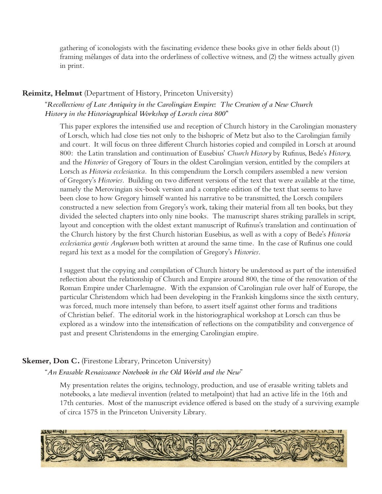gathering of iconologists with the fascinating evidence these books give in other fields about (1) framing mélanges of data into the orderliness of collective witness, and (2) the witness actually given in print.

#### **Reimitz, Helmut** (Department of History, Princeton University)

"*Recollections of Late Antiquity in the Carolingian Empire: The Creation of a New Church History in the Historiographical Workshop of Lorsch circa 800"*

This paper explores the intensified use and reception of Church history in the Carolingian monastery of Lorsch, which had close ties not only to the bishopric of Metz but also to the Carolingian family and court. It will focus on three different Church histories copied and compiled in Lorsch at around 800: the Latin translation and continuation of Eusebius' *Church History* by Rufinus, Bede's *History,* and the *Histories* of Gregory of Tours in the oldest Carolingian version, entitled by the compilers at Lorsch as *Historia ecclesiastica*. In this compendium the Lorsch compilers assembled a new version of Gregory's *Histories*. Building on two different versions of the text that were available at the time, namely the Merovingian six-book version and a complete edition of the text that seems to have been close to how Gregory himself wanted his narrative to be transmitted, the Lorsch compilers constructed a new selection from Gregory's work, taking their material from all ten books, but they divided the selected chapters into only nine books. The manuscript shares striking parallels in script, layout and conception with the oldest extant manuscript of Rufinus's translation and continuation of the Church history by the first Church historian Eusebius, as well as with a copy of Bede's *Historia ecclesiastica gentis Anglorum* both written at around the same time. In the case of Rufinus one could regard his text as a model for the compilation of Gregory's *Histories*.

I suggest that the copying and compilation of Church history be understood as part of the intensified reflection about the relationship of Church and Empire around 800, the time of the renovation of the Roman Empire under Charlemagne. With the expansion of Carolingian rule over half of Europe, the particular Christendom which had been developing in the Frankish kingdoms since the sixth century, was forced, much more intensely than before, to assert itself against other forms and traditions of Christian belief. The editorial work in the historiographical workshop at Lorsch can thus be explored as a window into the intensification of reflections on the compatibility and convergence of past and present Christendoms in the emerging Carolingian empire.

### **Skemer, Don C.** (Firestone Library, Princeton University)

"*An Erasable Renaissance Notebook in the Old World and the New*"

My presentation relates the origins, technology, production, and use of erasable writing tablets and notebooks, a late medieval invention (related to metalpoint) that had an active life in the 16th and 17th centuries. Most of the manuscript evidence offered is based on the study of a surviving example of circa 1575 in the Princeton University Library.